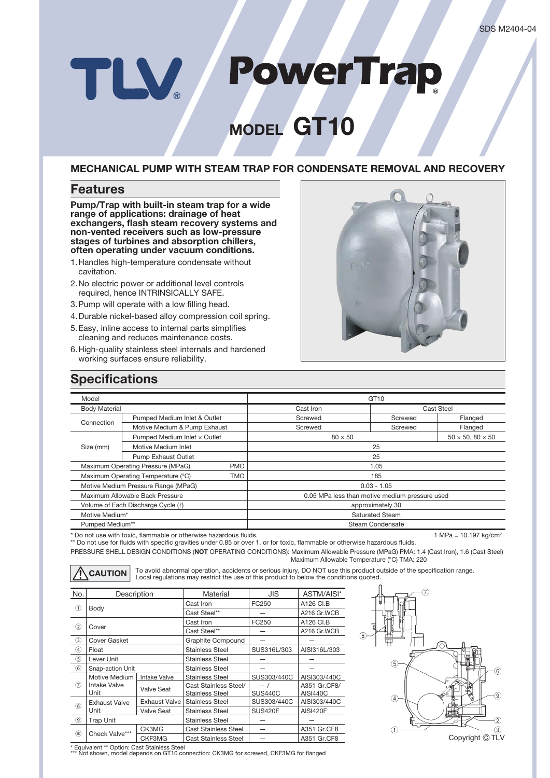# **PowerTrap** TLV

# **MODEL GT10**

### **MECHANICAL PUMP WITH STEAM TRAP FOR CONDENSATE REMOVAL AND RECOVERY**

## **Features**

**Pump/Trap with built-in steam trap for a wide range of applications: drainage of heat exchangers, flash steam recovery systems and non-vented receivers such as low-pressure stages of turbines and absorption chillers, often operating under vacuum conditions.**

- 1. Handles high-temperature condensate without cavitation.
- 2. No electric power or additional level controls required, hence INTRINSICALLY SAFE.
- 3. Pump will operate with a low filling head.
- 4. Durable nickel-based alloy compression coil spring.
- 5. Easy, inline access to internal parts simplifies cleaning and reduces maintenance costs.
- 6. High-quality stainless steel internals and hardened working surfaces ensure reliability.



## **Specifications**

| Model                                            |                              | GT <sub>10</sub>                               |            |                              |  |
|--------------------------------------------------|------------------------------|------------------------------------------------|------------|------------------------------|--|
| <b>Body Material</b>                             |                              | Cast Iron                                      | Cast Steel |                              |  |
| Connection                                       | Pumped Medium Inlet & Outlet | Screwed                                        | Screwed    | Flanged                      |  |
|                                                  | Motive Medium & Pump Exhaust | Screwed                                        | Screwed    | Flanged                      |  |
| Size (mm)                                        | Pumped Medium Inlet x Outlet | $80 \times 50$                                 |            | $50 \times 50, 80 \times 50$ |  |
|                                                  | Motive Medium Inlet          | 25                                             |            |                              |  |
|                                                  | <b>Pump Exhaust Outlet</b>   | 25                                             |            |                              |  |
| Maximum Operating Pressure (MPaG)<br><b>PMO</b>  |                              | 1.05                                           |            |                              |  |
| Maximum Operating Temperature (°C)<br><b>TMO</b> |                              | 185                                            |            |                              |  |
| Motive Medium Pressure Range (MPaG)              |                              | $0.03 - 1.05$                                  |            |                              |  |
| Maximum Allowable Back Pressure                  |                              | 0.05 MPa less than motive medium pressure used |            |                              |  |
| Volume of Each Discharge Cycle ( $\ell$ )        |                              | approximately 30                               |            |                              |  |
| Motive Medium*                                   |                              | <b>Saturated Steam</b>                         |            |                              |  |
| Pumped Medium**                                  |                              | Steam Condensate                               |            |                              |  |
|                                                  |                              |                                                |            |                              |  |

\* Do not use with toxic, flammable or otherwise hazardous fluids. 1 MPa = 10.197 kg/cm<sup>2</sup> and the total of the total of the total of the total of the total of the total of the total of the total of the total of the total o

PRESSURE SHELL DESIGN CONDITIONS (**NOT** OPERATING CONDITIONS): Maximum Allowable Pressure (MPaG) PMA: 1.4 (Cast Iron), 1.6 (Cast Steel) Maximum Allowable Temperature (°C) TMA: 220 \*\* Do not use for fluids with specific gravities under 0.85 or over 1, or for toxic, flammable or otherwise hazardous fluids.

CAUTION To avoid abnormal operation, accidents or serious injury, DO NOT use this product outside of the specification range.<br>
Local regulations may restrict the use of this product to below the conditions quoted.

| No.            | Description                                  |                     | Material                    | <b>JIS</b>     | ASTM/AISI*      |
|----------------|----------------------------------------------|---------------------|-----------------------------|----------------|-----------------|
|                | Body                                         |                     | Cast Iron                   | FC250          | A126 CI.B       |
| ⋒              |                                              |                     | Cast Steel**                |                | A216 Gr.WCB     |
| (2)            | Cover                                        |                     | Cast Iron                   | FC250          | A126 CI.B       |
|                |                                              |                     | Cast Steel**                |                | A216 Gr.WCB     |
| $\circled{3}$  | <b>Cover Gasket</b>                          |                     | Graphite Compound           |                |                 |
| ④              | Float                                        |                     | <b>Stainless Steel</b>      | SUS316L/303    | AISI316L/303    |
| $\circled{5}$  | Lever Unit                                   |                     | <b>Stainless Steel</b>      |                |                 |
| $\circled{6}$  | Snap-action Unit                             |                     | <b>Stainless Steel</b>      |                |                 |
| $\circled7$    | Motive Medium<br><b>Intake Valve</b><br>Unit | <b>Intake Valve</b> | <b>Stainless Steel</b>      | SUS303/440C    | AISI303/440C    |
|                |                                              | Valve Seat          | Cast Stainless Steel/       | $-1$           | A351 Gr.CF8/    |
|                |                                              |                     | <b>Stainless Steel</b>      | <b>SUS440C</b> | <b>AISI440C</b> |
| (8)            | <b>Exhaust Valve</b>                         | Exhaust Valve I     | <b>Stainless Steel</b>      | SUS303/440C    | AISI303/440C    |
|                | Unit                                         | Valve Seat          | <b>Stainless Steel</b>      | <b>SUS420F</b> | <b>AISI420F</b> |
| $\circledcirc$ | <b>Trap Unit</b>                             |                     | <b>Stainless Steel</b>      |                |                 |
| $\circledR$    | Check Valve***                               | CK3MG               | <b>Cast Stainless Steel</b> |                | A351 Gr.CF8     |
|                |                                              | CKF3MG              | <b>Cast Stainless Steel</b> |                | A351 Gr.CF8     |



\* Equivalent \*\* Option: Cast Stainless Steel

\*\* Not shown, model depends on GT10 connection: CK3MG for screwed, CKF3MG for flanged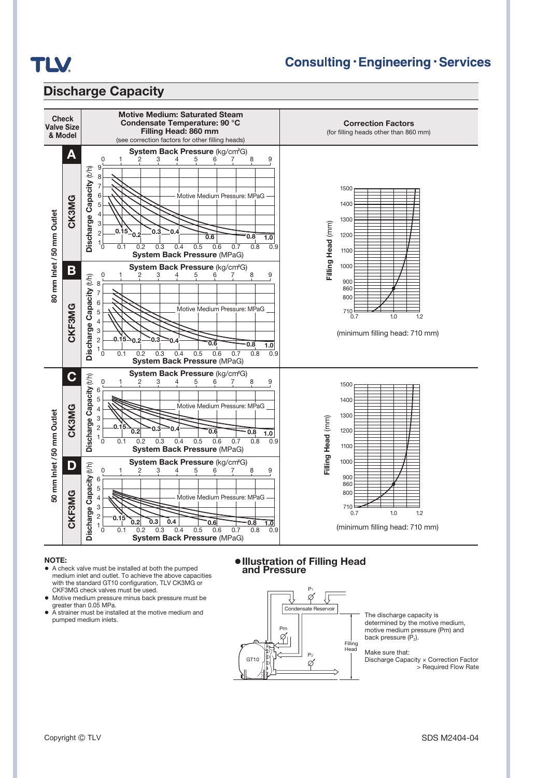

## **Consulting · Engineering · Services**

## **Discharge Capacity**



#### **NOTE:**

- **●** A check valve must be installed at both the pumped medium inlet and outlet. To achieve the above capacities with the standard GT10 configuration, TLV CK3MG or CKF3MG check valves must be used.
- **●** Motive medium pressure minus back pressure must be greater than 0.05 MPa.
- **●** A strainer must be installed at the motive medium and pumped medium inlets.

**●Illustration of Filling Head and Pressure**



The discharge capacity is determined by the motive medium, motive medium pressure (Pm) and back pressure  $(\dot{P}_2)$ .

Make sure that: Discharge Capacity × Correction Factor > Required Flow Rate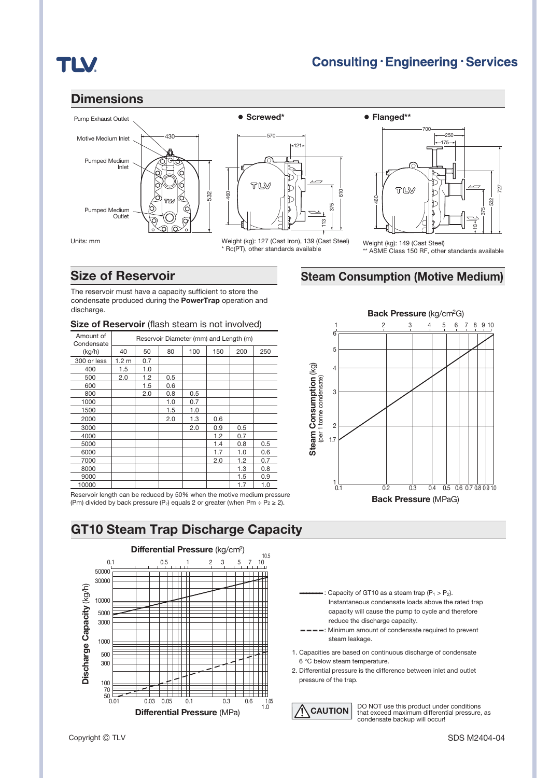## **TLV**

## **Dimensions**







\* Rc(PT), other standards available



Weight (kg): 149 (Cast Steel) ASME Class 150 RF, other standards available

## **Steam Consumption (Motive Medium)**

## **Size of Reservoir**

The reservoir must have a capacity sufficient to store the condensate produced during the **PowerTrap** operation and discharge.

#### **Size of Reservoir** (flash steam is not involved)

| Amount of<br>Condensate | Reservoir Diameter (mm) and Length (m) |     |     |     |     |     |     |
|-------------------------|----------------------------------------|-----|-----|-----|-----|-----|-----|
| (kg/h)                  | 40                                     | 50  | 80  | 100 | 150 | 200 | 250 |
| 300 or less             | 1.2 <sub>m</sub>                       | 0.7 |     |     |     |     |     |
| 400                     | 1.5                                    | 1.0 |     |     |     |     |     |
| 500                     | 2.0                                    | 1.2 | 0.5 |     |     |     |     |
| 600                     |                                        | 1.5 | 0.6 |     |     |     |     |
| 800                     |                                        | 2.0 | 0.8 | 0.5 |     |     |     |
| 1000                    |                                        |     | 1.0 | 0.7 |     |     |     |
| 1500                    |                                        |     | 1.5 | 1.0 |     |     |     |
| 2000                    |                                        |     | 2.0 | 1.3 | 0.6 |     |     |
| 3000                    |                                        |     |     | 2.0 | 0.9 | 0.5 |     |
| 4000                    |                                        |     |     |     | 1.2 | 0.7 |     |
| 5000                    |                                        |     |     |     | 1.4 | 0.8 | 0.5 |
| 6000                    |                                        |     |     |     | 1.7 | 1.0 | 0.6 |
| 7000                    |                                        |     |     |     | 2.0 | 1.2 | 0.7 |
| 8000                    |                                        |     |     |     |     | 1.3 | 0.8 |
| 9000                    |                                        |     |     |     |     | 1.5 | 0.9 |
| 10000                   |                                        |     |     |     |     | 1.7 | 1.0 |

10000 | | | | | | | | | | 1.7 | 1.0 Reservoir length can be reduced by 50% when the motive medium pressure (Pm) divided by back pressure (P<sub>2</sub>) equals 2 or greater (when Pm ÷ P<sub>2</sub> ≥ 2).

**GT10 Steam Trap Discharge Capacity**





: Capacity of GT10 as a steam trap  $(P_1 > P_2)$ . Instantaneous condensate loads above the rated trap capacity will cause the pump to cycle and therefore reduce the discharge capacity.

- -: Minimum amount of condensate required to prevent steam leakage.
- 1. Capacities are based on continuous discharge of condensate 6 °C below steam temperature.
- 2. Differential pressure is the difference between inlet and outlet

**CAUTION** DO NOT use this product under conditions that exceed maximum differential pressure, as condensate backup will occur!